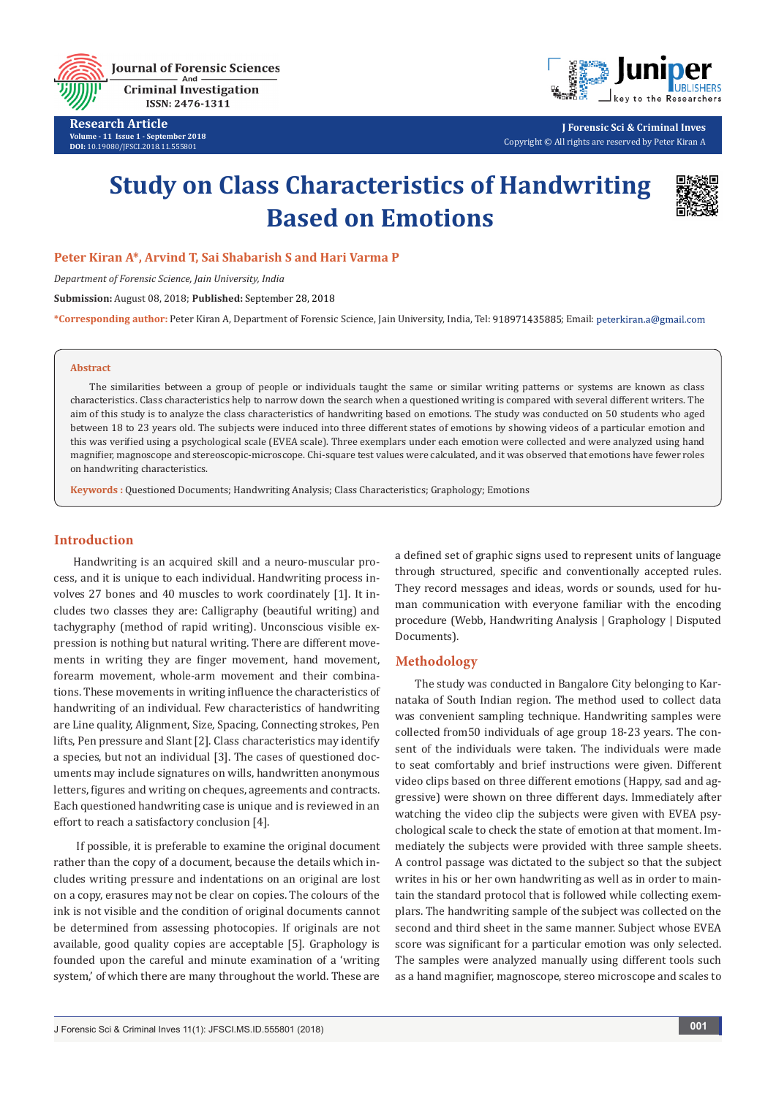**Journal of Forensic Sciences Criminal Investigation** ISSN: 2476-1311

**Research Article Volume - 11 Issue 1 - September 2018 DOI:** [10.19080/JFSCI.2018.11.555801](http://dx.doi.org/10.19080/JFSCI.2018.11.555801)



**J Forensic Sci & Criminal Inves** Copyright © All rights are reserved by Peter Kiran A

# **Study on Class Characteristics of Handwriting Based on Emotions**



**Peter Kiran A\*, Arvind T, Sai Shabarish S and Hari Varma P**

*Department of Forensic Science, Jain University, India*

**Submission:** August 08, 2018; **Published:** September 28, 2018

\*Corresponding author: Peter Kiran A, Department of Forensic Science, Jain University, India, Tel: 918971435885; Email: peterkiran.a@gmail.com

#### **Abstract**

The similarities between a group of people or individuals taught the same or similar writing patterns or systems are known as class characteristics. Class characteristics help to narrow down the search when a questioned writing is compared with several different writers. The aim of this study is to analyze the class characteristics of handwriting based on emotions. The study was conducted on 50 students who aged between 18 to 23 years old. The subjects were induced into three different states of emotions by showing videos of a particular emotion and this was verified using a psychological scale (EVEA scale). Three exemplars under each emotion were collected and were analyzed using hand magnifier, magnoscope and stereoscopic-microscope. Chi-square test values were calculated, and it was observed that emotions have fewer roles on handwriting characteristics.

**Keywords :** Questioned Documents; Handwriting Analysis; Class Characteristics; Graphology; Emotions

#### **Introduction**

Handwriting is an acquired skill and a neuro-muscular process, and it is unique to each individual. Handwriting process involves 27 bones and 40 muscles to work coordinately [1]. It includes two classes they are: Calligraphy (beautiful writing) and tachygraphy (method of rapid writing). Unconscious visible expression is nothing but natural writing. There are different movements in writing they are finger movement, hand movement, forearm movement, whole-arm movement and their combinations. These movements in writing influence the characteristics of handwriting of an individual. Few characteristics of handwriting are Line quality, Alignment, Size, Spacing, Connecting strokes, Pen lifts, Pen pressure and Slant [2]. Class characteristics may identify a species, but not an individual [3]. The cases of questioned documents may include signatures on wills, handwritten anonymous letters, figures and writing on cheques, agreements and contracts. Each questioned handwriting case is unique and is reviewed in an effort to reach a satisfactory conclusion [4].

 If possible, it is preferable to examine the original document rather than the copy of a document, because the details which includes writing pressure and indentations on an original are lost on a copy, erasures may not be clear on copies. The colours of the ink is not visible and the condition of original documents cannot be determined from assessing photocopies. If originals are not available, good quality copies are acceptable [5]. Graphology is founded upon the careful and minute examination of a 'writing system,' of which there are many throughout the world. These are a defined set of graphic signs used to represent units of language through structured, specific and conventionally accepted rules. They record messages and ideas, words or sounds, used for human communication with everyone familiar with the encoding procedure (Webb, Handwriting Analysis | Graphology | Disputed Documents).

#### **Methodology**

The study was conducted in Bangalore City belonging to Karnataka of South Indian region. The method used to collect data was convenient sampling technique. Handwriting samples were collected from50 individuals of age group 18-23 years. The consent of the individuals were taken. The individuals were made to seat comfortably and brief instructions were given. Different video clips based on three different emotions (Happy, sad and aggressive) were shown on three different days. Immediately after watching the video clip the subjects were given with EVEA psychological scale to check the state of emotion at that moment. Immediately the subjects were provided with three sample sheets. A control passage was dictated to the subject so that the subject writes in his or her own handwriting as well as in order to maintain the standard protocol that is followed while collecting exemplars. The handwriting sample of the subject was collected on the second and third sheet in the same manner. Subject whose EVEA score was significant for a particular emotion was only selected. The samples were analyzed manually using different tools such as a hand magnifier, magnoscope, stereo microscope and scales to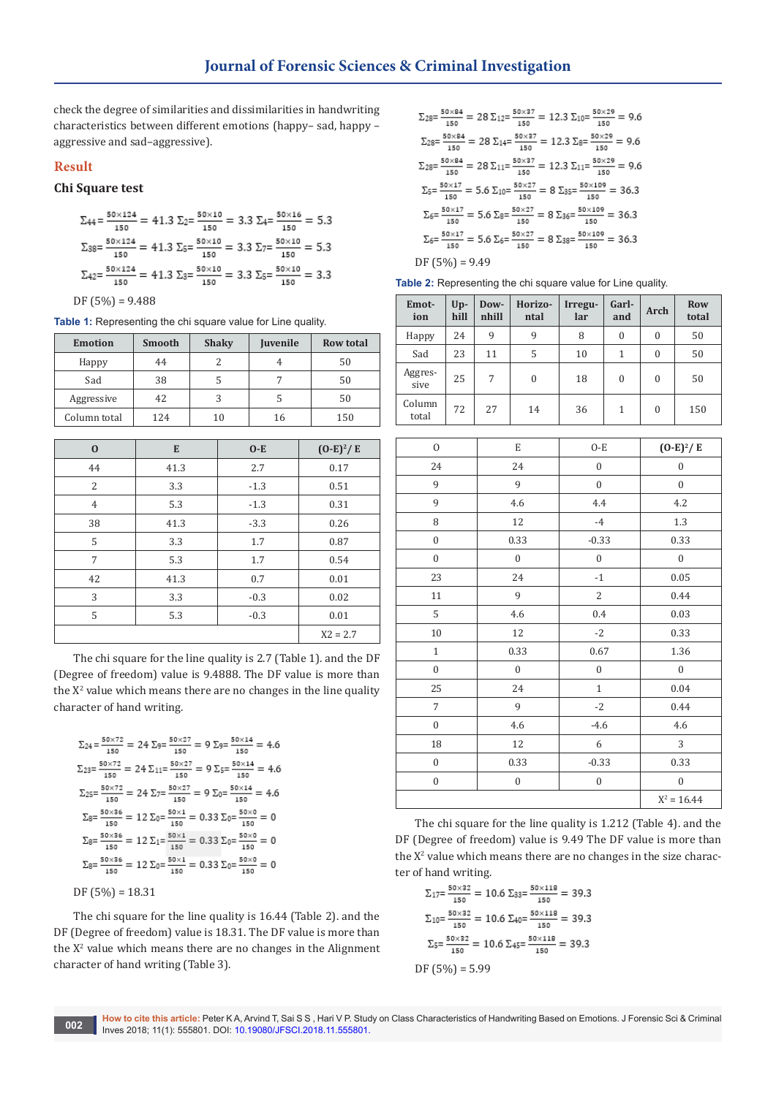check the degree of similarities and dissimilarities in handwriting characteristics between different emotions (happy– sad, happy – aggressive and sad–aggressive).

#### **Result**

## **Chi Square test**

$$
\Sigma_{44} = \frac{50 \times 124}{150} = 41.3 \ \Sigma_{2} = \frac{50 \times 10}{150} = 3.3 \ \Sigma_{4} = \frac{50 \times 16}{150} = 5.3
$$
\n
$$
\Sigma_{38} = \frac{50 \times 124}{150} = 41.3 \ \Sigma_{5} = \frac{50 \times 10}{150} = 3.3 \ \Sigma_{7} = \frac{50 \times 10}{150} = 5.3
$$
\n
$$
\Sigma_{42} = \frac{50 \times 124}{150} = 41.3 \ \Sigma_{3} = \frac{50 \times 10}{150} = 3.3 \ \Sigma_{5} = \frac{50 \times 10}{150} = 3.3
$$

DF  $(5%) = 9.488$ 

**Table 1:** Representing the chi square value for Line quality.

| <b>Emotion</b> | <b>Smooth</b> | <b>Shaky</b> | <b>Juvenile</b> | Row total |
|----------------|---------------|--------------|-----------------|-----------|
| Happy          | 44            |              |                 | 50        |
| Sad            | 38            |              |                 | 50        |
| Aggressive     | 42            |              |                 | 50        |
| Column total   | 124           | 10           | 16              | 150       |

| $\bf{0}$ | E    | $O-E$  | $(O-E)^2/E$ |
|----------|------|--------|-------------|
| 44       | 41.3 | 2.7    | 0.17        |
| 2        | 3.3  | $-1.3$ | 0.51        |
| 4        | 5.3  | $-1.3$ | 0.31        |
| 38       | 41.3 | $-3.3$ | 0.26        |
| 5        | 3.3  | 1.7    | 0.87        |
| 7        | 5.3  | 1.7    | 0.54        |
| 42       | 41.3 | 0.7    | 0.01        |
| 3        | 3.3  | $-0.3$ | 0.02        |
| 5        | 5.3  | $-0.3$ | 0.01        |
|          |      |        | $X2 = 2.7$  |

The chi square for the line quality is 2.7 (Table 1). and the DF (Degree of freedom) value is 9.4888. The DF value is more than the  $X^2$  value which means there are no changes in the line quality character of hand writing.

$$
\Sigma_{24} = \frac{50 \times 72}{150} = 24 \Sigma_{9} = \frac{50 \times 27}{150} = 9 \Sigma_{9} = \frac{50 \times 14}{150} = 4.6
$$
  

$$
\Sigma_{23} = \frac{50 \times 72}{150} = 24 \Sigma_{11} = \frac{50 \times 27}{150} = 9 \Sigma_{5} = \frac{50 \times 14}{150} = 4.6
$$
  

$$
\Sigma_{25} = \frac{50 \times 72}{150} = 24 \Sigma_{7} = \frac{50 \times 27}{150} = 9 \Sigma_{0} = \frac{50 \times 14}{150} = 4.6
$$
  

$$
\Sigma_{8} = \frac{50 \times 86}{150} = 12 \Sigma_{0} = \frac{50 \times 1}{150} = 0.33 \Sigma_{0} = \frac{50 \times 0}{150} = 0
$$
  

$$
\Sigma_{8} = \frac{50 \times 86}{150} = 12 \Sigma_{1} = \frac{50 \times 1}{150} = 0.33 \Sigma_{0} = \frac{50 \times 0}{150} = 0
$$
  

$$
\Sigma_{8} = \frac{50 \times 86}{150} = 12 \Sigma_{0} = \frac{50 \times 1}{150} = 0.33 \Sigma_{0} = \frac{50 \times 0}{150} = 0
$$

 $DF(5%) = 18.31$ 

The chi square for the line quality is 16.44 (Table 2). and the DF (Degree of freedom) value is 18.31. The DF value is more than the  $X^2$  value which means there are no changes in the Alignment character of hand writing (Table 3).

$$
\Sigma_{28} = \frac{50 \times 84}{150} = 28 \Sigma_{12} = \frac{50 \times 37}{150} = 12.3 \Sigma_{10} = \frac{50 \times 29}{150} = 9.6
$$
  

$$
\Sigma_{28} = \frac{50 \times 84}{150} = 28 \Sigma_{14} = \frac{50 \times 37}{150} = 12.3 \Sigma_{8} = \frac{50 \times 29}{150} = 9.6
$$
  

$$
\Sigma_{28} = \frac{50 \times 84}{150} = 28 \Sigma_{11} = \frac{50 \times 37}{150} = 12.3 \Sigma_{11} = \frac{50 \times 29}{150} = 9.6
$$
  

$$
\Sigma_{5} = \frac{50 \times 17}{150} = 5.6 \Sigma_{10} = \frac{50 \times 27}{150} = 8 \Sigma_{35} = \frac{50 \times 109}{150} = 36.3
$$
  

$$
\Sigma_{6} = \frac{50 \times 17}{150} = 5.6 \Sigma_{8} = \frac{50 \times 27}{150} = 8 \Sigma_{36} = \frac{50 \times 109}{150} = 36.3
$$
  

$$
\Sigma_{6} = \frac{50 \times 17}{150} = 5.6 \Sigma_{6} = \frac{50 \times 27}{150} = 8 \Sigma_{38} = \frac{50 \times 109}{150} = 36.3
$$
  
DF (5%) = 9.49

**Table 2:** Representing the chi square value for Line quality.

| Emot-<br>ion    | Up-<br>hill | Dow-<br>nhill | Horizo-<br>ntal | Irregu-<br>lar | Garl-<br>and | <b>Arch</b> | <b>Row</b><br>total |
|-----------------|-------------|---------------|-----------------|----------------|--------------|-------------|---------------------|
| Happy           | 24          | 9             | 9               | 8              | $\Omega$     | $\theta$    | 50                  |
| Sad             | 23          | 11            | 5               | 10             | 1            | $\theta$    | 50                  |
| Aggres-<br>sive | 25          | 7             | $\theta$        | 18             | $\mathbf{0}$ | $\theta$    | 50                  |
| Column<br>total | 72          | 27            | 14              | 36             | 1            | $\theta$    | 150                 |

| $\mathbf{O}$     | E                | $O-E$            | $(O-E)^2 / E$    |
|------------------|------------------|------------------|------------------|
| 24               | 24               | $\boldsymbol{0}$ | $\boldsymbol{0}$ |
| 9                | 9                | $\boldsymbol{0}$ | $\boldsymbol{0}$ |
| 9                | 4.6              | 4.4              | 4.2              |
| 8                | 12               | $^{\rm -4}$      | 1.3              |
| $\boldsymbol{0}$ | 0.33             | $-0.33$          | 0.33             |
| $\boldsymbol{0}$ | $\boldsymbol{0}$ | $\boldsymbol{0}$ | $\boldsymbol{0}$ |
| 23               | 24               | $^{\rm -1}$      | 0.05             |
| 11               | 9                | $\sqrt{2}$       | 0.44             |
| 5                | 4.6              | 0.4              | 0.03             |
| $10\,$           | 12               | $-2$             | 0.33             |
| $\mathbf{1}$     | 0.33             | 0.67             | 1.36             |
| $\boldsymbol{0}$ | $\boldsymbol{0}$ | $\boldsymbol{0}$ | $\boldsymbol{0}$ |
| 25               | 24               | $\mathbf{1}$     | $0.04\,$         |
| $\overline{7}$   | 9                | $-2$             | 0.44             |
| $\boldsymbol{0}$ | 4.6              | $-4.6$           | 4.6              |
| $18\,$           | 12               | 6                | 3                |
| $\boldsymbol{0}$ | 0.33             | $-0.33$          | 0.33             |
| $\boldsymbol{0}$ | $\boldsymbol{0}$ | $\boldsymbol{0}$ | $\boldsymbol{0}$ |
|                  |                  |                  | $X^2 = 16.44$    |

The chi square for the line quality is 1.212 (Table 4). and the DF (Degree of freedom) value is 9.49 The DF value is more than the  $X^2$  value which means there are no changes in the size character of hand writing.

$$
\Sigma_{17} = \frac{50 \times 32}{150} = 10.6 \ \Sigma_{33} = \frac{50 \times 118}{150} = 39.3
$$
\n
$$
\Sigma_{10} = \frac{50 \times 32}{150} = 10.6 \ \Sigma_{40} = \frac{50 \times 118}{150} = 39.3
$$
\n
$$
\Sigma_{5} = \frac{50 \times 32}{150} = 10.6 \ \Sigma_{45} = \frac{50 \times 118}{150} = 39.3
$$
\nDF (5%) = 5.99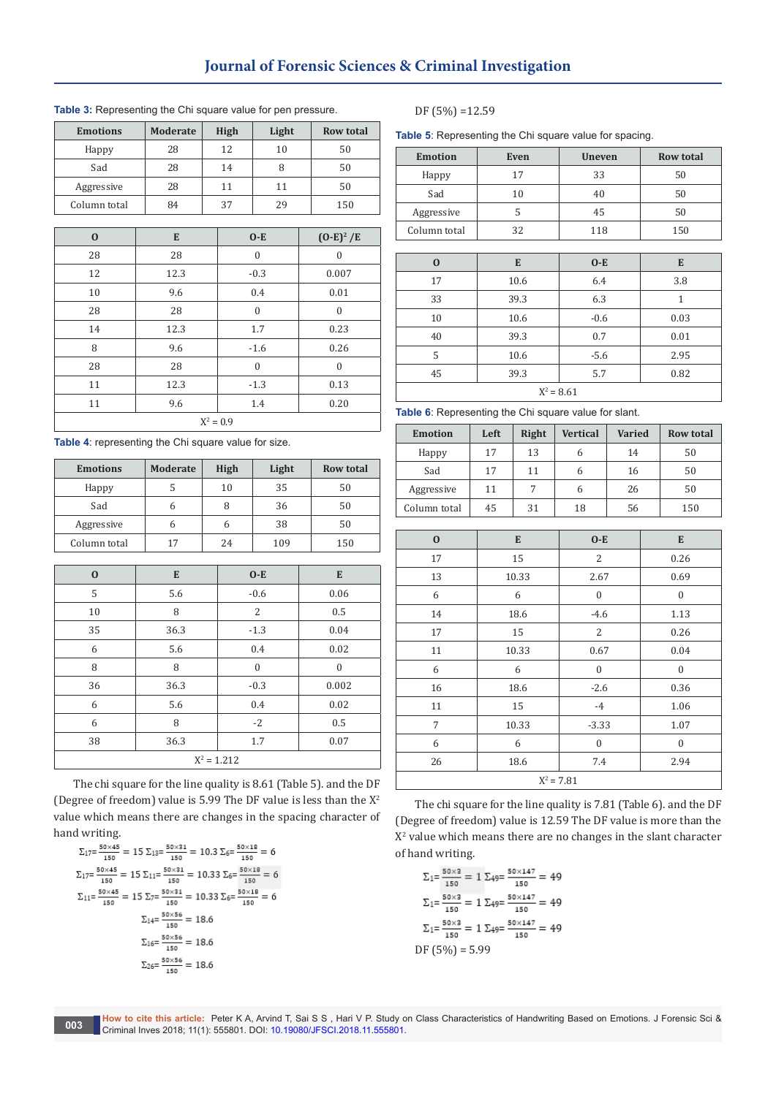# **Journal of Forensic Sciences & Criminal Investigation**

| <b>Emotions</b> | <b>Moderate</b> | <b>High</b> | Light | <b>Row total</b> |
|-----------------|-----------------|-------------|-------|------------------|
| Happy           | 28              | 12          | 10    | 50               |
| Sad             | 28              | 14          | 8     | 50               |
| Aggressive      | 28              | 11          | 11    | 50               |
| Column total    | 84              | 37          | 29    | 150              |
|                 |                 |             |       |                  |

#### **Table 3:** Representing the Chi square value for pen pressure.

| $\bf{0}$    | E    | $O-E$    | $(O-E)^2/E$ |  |  |
|-------------|------|----------|-------------|--|--|
| 28          | 28   | $\theta$ | $\Omega$    |  |  |
| 12          | 12.3 | $-0.3$   | 0.007       |  |  |
| 10          | 9.6  | 0.4      | 0.01        |  |  |
| 28          | 28   | $\theta$ | $\Omega$    |  |  |
| 14          | 12.3 | 1.7      | 0.23        |  |  |
| 8           | 9.6  | $-1.6$   | 0.26        |  |  |
| 28          | 28   | $\theta$ | $\theta$    |  |  |
| 11          | 12.3 | $-1.3$   | 0.13        |  |  |
| 11          | 9.6  | 1.4      | 0.20        |  |  |
| $X^2 = 0.9$ |      |          |             |  |  |

**Table 4**: representing the Chi square value for size.

| <b>Emotions</b> | <b>Moderate</b> | High | Light | <b>Row total</b> |
|-----------------|-----------------|------|-------|------------------|
| Happy           |                 | 10   | 35    | 50               |
| Sad             |                 | 8    | 36    | 50               |
| Aggressive      |                 | h    | 38    | 50               |
| Column total    | 17              | 24   | 109   | 150              |

| $\bf{0}$ | E             | $0-E$        | E                |  |  |  |
|----------|---------------|--------------|------------------|--|--|--|
| 5        | 5.6           | $-0.6$       | 0.06             |  |  |  |
| 10       | 8             | 2            | 0.5              |  |  |  |
| 35       | 36.3          | $-1.3$       | 0.04             |  |  |  |
| 6        | 5.6           | 0.4          | 0.02             |  |  |  |
| 8        | 8             | $\mathbf{0}$ | $\boldsymbol{0}$ |  |  |  |
| 36       | 36.3          | $-0.3$       | 0.002            |  |  |  |
| 6        | 5.6           | 0.4          | 0.02             |  |  |  |
| 6        | 8             | $-2$         | 0.5              |  |  |  |
| 38       | 36.3          | 1.7          | 0.07             |  |  |  |
|          | $X^2 = 1.212$ |              |                  |  |  |  |

The chi square for the line quality is 8.61 (Table 5). and the DF (Degree of freedom) value is 5.99 The DF value is less than the  $X^2$ value which means there are changes in the spacing character of hand writing.

$$
\Sigma_{17} = \frac{50 \times 45}{150} = 15 \Sigma_{13} = \frac{50 \times 31}{150} = 10.3 \Sigma_{6} = \frac{50 \times 18}{150} = 6
$$
  

$$
\Sigma_{17} = \frac{50 \times 45}{150} = 15 \Sigma_{11} = \frac{50 \times 31}{150} = 10.33 \Sigma_{6} = \frac{50 \times 18}{150} = 6
$$
  

$$
\Sigma_{11} = \frac{50 \times 45}{150} = 15 \Sigma_{7} = \frac{50 \times 31}{150} = 10.33 \Sigma_{6} = \frac{50 \times 18}{150} = 6
$$
  

$$
\Sigma_{14} = \frac{50 \times 56}{150} = 18.6
$$
  

$$
\Sigma_{16} = \frac{50 \times 56}{150} = 18.6
$$
  

$$
\Sigma_{26} = \frac{50 \times 56}{150} = 18.6
$$

DF (5%) =12.59

**Table 5**: Representing the Chi square value for spacing.

| <b>Emotion</b> | Even | <b>Uneven</b> | <b>Row total</b> |
|----------------|------|---------------|------------------|
| Happy          | 17   | 33            | 50               |
| Sad            | 10   | 40            | 50               |
| Aggressive     | 5    | 45            | 50               |
| Column total   | 32   | 118           | 150              |
|                |      |               |                  |
| $\bf{0}$       | E    | $O-E$         | E                |
| 17             | 10.6 | 6.4           | 3.8              |
| 33             | 39.3 | 6.3           | $\mathbf{1}$     |
| 10             | 10.6 | $-0.6$        | 0.03             |
| 40             | 39.3 | 0.7           | 0.01             |
| 5              | 10.6 | $-5.6$        | 2.95             |

**Table 6**: Representing the Chi square value for slant.

| <b>Emotion</b> | Left | Right | <b>Vertical</b> | <b>Varied</b> | Row total |
|----------------|------|-------|-----------------|---------------|-----------|
| Happy          | 17   | 13    | h               | 14            | 50        |
| Sad            | 17   | 11    | 6               | 16            | 50        |
| Aggressive     | 11   |       | 6               | 26            | 50        |
| Column total   | 45   | 31    | 18              | 56            | 150       |

45 39.3 5.7 0.82  $X^2 = 8.61$ 

| $\bf{0}$       | E            | $0-E$            | E            |  |  |  |
|----------------|--------------|------------------|--------------|--|--|--|
| 17             | 15           | $\overline{2}$   | 0.26         |  |  |  |
| 13             | 10.33        | 2.67             | 0.69         |  |  |  |
| 6              | 6            | $\boldsymbol{0}$ | $\mathbf{0}$ |  |  |  |
| 14             | 18.6         | $-4.6$           | 1.13         |  |  |  |
| 17             | 15           | 2                | 0.26         |  |  |  |
| 11             | 10.33        | 0.67             | 0.04         |  |  |  |
| 6              | 6            | $\mathbf{0}$     | $\mathbf{0}$ |  |  |  |
| 16             | 18.6         | $-2.6$           | 0.36         |  |  |  |
| 11             | 15           | $-4$             | 1.06         |  |  |  |
| $\overline{7}$ | 10.33        | $-3.33$          | 1.07         |  |  |  |
| 6              | 6            | $\mathbf{0}$     | $\mathbf{0}$ |  |  |  |
| 26             | 18.6         | 7.4              | 2.94         |  |  |  |
|                | $X^2 = 7.81$ |                  |              |  |  |  |

The chi square for the line quality is 7.81 (Table 6). and the DF (Degree of freedom) value is 12.59 The DF value is more than the X2 value which means there are no changes in the slant character of hand writing.

$$
\Sigma_{1} = \frac{50 \times 3}{150} = 1 \Sigma_{49} = \frac{50 \times 147}{150} = 49
$$
  

$$
\Sigma_{1} = \frac{50 \times 3}{150} = 1 \Sigma_{49} = \frac{50 \times 147}{150} = 49
$$
  

$$
\Sigma_{1} = \frac{50 \times 3}{150} = 1 \Sigma_{49} = \frac{50 \times 147}{150} = 49
$$
  
DF (5%) = 5.99